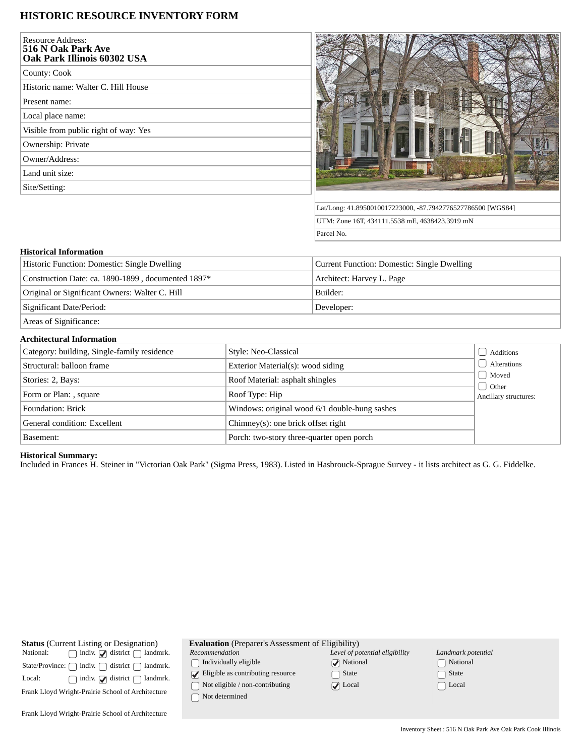# **HISTORIC RESOURCE INVENTORY FORM**

| <b>Resource Address:</b><br>516 N Oak Park Ave<br>Oak Park Illinois 60302 USA |
|-------------------------------------------------------------------------------|
| County: Cook                                                                  |
| Historic name: Walter C. Hill House                                           |
| Present name:                                                                 |
| Local place name:                                                             |
| Visible from public right of way: Yes                                         |
| Ownership: Private                                                            |
| Owner/Address:                                                                |
| Land unit size:                                                               |
| Site/Setting:                                                                 |
|                                                                               |



Lat/Long: 41.8950010017223000, -87.7942776527786500 [WGS84] UTM: Zone 16T, 434111.5538 mE, 4638423.3919 mN Parcel No.

### **Historical Information**

| Historic Function: Domestic: Single Dwelling                                                                                                                                                                                                                                                                                                                                         | Current Function: Domestic: Single Dwelling |  |  |
|--------------------------------------------------------------------------------------------------------------------------------------------------------------------------------------------------------------------------------------------------------------------------------------------------------------------------------------------------------------------------------------|---------------------------------------------|--|--|
| Construction Date: ca. 1890-1899, documented 1897*                                                                                                                                                                                                                                                                                                                                   | Architect: Harvey L. Page                   |  |  |
| Original or Significant Owners: Walter C. Hill                                                                                                                                                                                                                                                                                                                                       | Builder:                                    |  |  |
| Significant Date/Period:                                                                                                                                                                                                                                                                                                                                                             | Developer:                                  |  |  |
| $\overline{a}$ $\overline{a}$ $\overline{a}$ $\overline{a}$ $\overline{a}$ $\overline{a}$ $\overline{a}$ $\overline{a}$ $\overline{a}$ $\overline{a}$ $\overline{a}$ $\overline{a}$ $\overline{a}$ $\overline{a}$ $\overline{a}$ $\overline{a}$ $\overline{a}$ $\overline{a}$ $\overline{a}$ $\overline{a}$ $\overline{a}$ $\overline{a}$ $\overline{a}$ $\overline{a}$ $\overline{$ |                                             |  |  |

Areas of Significance:

#### **Architectural Information**

| Category: building, Single-family residence | Style: Neo-Classical                          | Additions             |
|---------------------------------------------|-----------------------------------------------|-----------------------|
| Structural: balloon frame                   | Exterior Material(s): wood siding             | Alterations           |
| Stories: 2, Bays:                           | Roof Material: asphalt shingles               | Moved<br>d Other      |
| Form or Plan: , square                      | Roof Type: Hip                                | Ancillary structures: |
| Foundation: Brick                           | Windows: original wood 6/1 double-hung sashes |                       |
| General condition: Excellent                | $Chimney(s)$ : one brick offset right         |                       |
| Basement:                                   | Porch: two-story three-quarter open porch     |                       |

#### **Historical Summary:**

Included in Frances H. Steiner in "Victorian Oak Park" (Sigma Press, 1983). Listed in Hasbrouck-Sprague Survey - it lists architect as G. G. Fiddelke.

| <b>Status</b> (Current Listing or Designation)                         |  |  |  |
|------------------------------------------------------------------------|--|--|--|
| $\Box$ indiv. $\Box$ district $\Box$ landmrk.<br>National:             |  |  |  |
| State/Province: $\bigcap$ indiv. $\bigcap$ district $\bigcap$ landmrk. |  |  |  |
| $\Box$ indiv. $\Box$ district $\Box$ landmrk.<br>Local:                |  |  |  |
| Frank Lloyd Wright-Prairie School of Architecture                      |  |  |  |
| Frank Lloyd Wright-Prairie School of Architecture                      |  |  |  |

| <b>Evaluation</b> (Preparer's Assessment of Eligibility) |               |
|----------------------------------------------------------|---------------|
| Recommendation                                           | Level of pote |

*Recommendation*  $\hfill\textstyle\bigcap\textstyle\textstyle\bigcap\textstyle\textstyle\bigcap\textstyle\textstyle\textstyle\bigcap\textstyle\textstyle\bigcap\textstyle\textstyle\big$ 

Eligible as contributing resource

 $\fbox{~Not eligible/non-contributing~}$ 

 $\bigcap$  Not determined

| Level of potential eligibility |
|--------------------------------|
| $\sqrt{\phantom{a}}$ National  |
| $\Box$ State                   |
| $\sqrt{\phantom{a}}$ Local     |

| Landmark potential |
|--------------------|
| [ ] National       |
| $\lfloor$ ) State  |
| $\vert$   Local    |